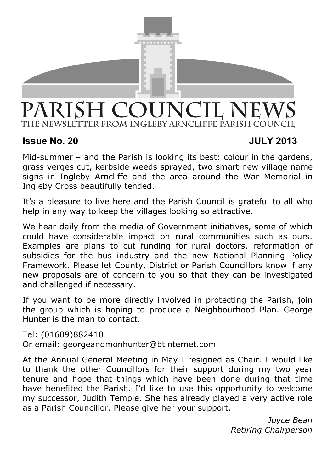

# PARISH COUNCIL NEWS THE NEWSLETTER FROM INGLEBY ARNCLIFFE PARISH COUNCIL

# **Issue No. 20 JULY 2013**

Mid-summer – and the Parish is looking its best: colour in the gardens, grass verges cut, kerbside weeds sprayed, two smart new village name signs in Ingleby Arncliffe and the area around the War Memorial in Ingleby Cross beautifully tended.

It's a pleasure to live here and the Parish Council is grateful to all who help in any way to keep the villages looking so attractive.

We hear daily from the media of Government initiatives, some of which could have considerable impact on rural communities such as ours. Examples are plans to cut funding for rural doctors, reformation of subsidies for the bus industry and the new National Planning Policy Framework. Please let County, District or Parish Councillors know if any new proposals are of concern to you so that they can be investigated and challenged if necessary.

If you want to be more directly involved in protecting the Parish, join the group which is hoping to produce a Neighbourhood Plan. George Hunter is the man to contact.

Tel: (01609)882410 Or email: georgeandmonhunter@btinternet.com

At the Annual General Meeting in May I resigned as Chair. I would like to thank the other Councillors for their support during my two year tenure and hope that things which have been done during that time have benefited the Parish. I'd like to use this opportunity to welcome my successor, Judith Temple. She has already played a very active role as a Parish Councillor. Please give her your support.

> *Joyce Bean Retiring Chairperson*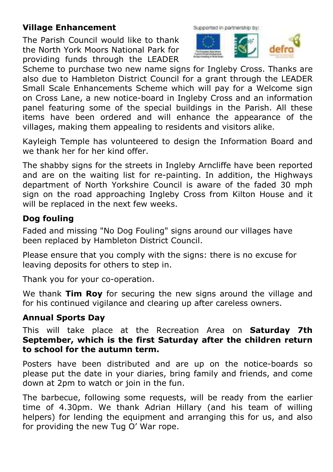# **Village Enhancement**

The Parish Council would like to thank the North York Moors National Park for providing funds through the LEADER



Scheme to purchase two new name signs for Ingleby Cross. Thanks are also due to Hambleton District Council for a grant through the LEADER Small Scale Enhancements Scheme which will pay for a Welcome sign on Cross Lane, a new notice-board in Ingleby Cross and an information panel featuring some of the special buildings in the Parish. All these items have been ordered and will enhance the appearance of the villages, making them appealing to residents and visitors alike.

Kayleigh Temple has volunteered to design the Information Board and we thank her for her kind offer.

The shabby signs for the streets in Ingleby Arncliffe have been reported and are on the waiting list for re-painting. In addition, the Highways department of North Yorkshire Council is aware of the faded 30 mph sign on the road approaching Ingleby Cross from Kilton House and it will be replaced in the next few weeks.

# **Dog fouling**

Faded and missing "No Dog Fouling" signs around our villages have been replaced by Hambleton District Council.

Please ensure that you comply with the signs: there is no excuse for leaving deposits for others to step in.

Thank you for your co-operation.

We thank **Tim Roy** for securing the new signs around the village and for his continued vigilance and clearing up after careless owners.

# **Annual Sports Day**

This will take place at the Recreation Area on **Saturday 7th September, which is the first Saturday after the children return to school for the autumn term.** 

Posters have been distributed and are up on the notice-boards so please put the date in your diaries, bring family and friends, and come down at 2pm to watch or join in the fun.

The barbecue, following some requests, will be ready from the earlier time of 4.30pm. We thank Adrian Hillary (and his team of willing helpers) for lending the equipment and arranging this for us, and also for providing the new Tug O' War rope.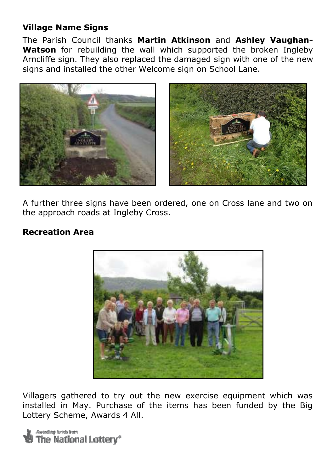## **Village Name Signs**

The Parish Council thanks **Martin Atkinson** and **Ashley Vaughan-Watson** for rebuilding the wall which supported the broken Ingleby Arncliffe sign. They also replaced the damaged sign with one of the new signs and installed the other Welcome sign on School Lane.





A further three signs have been ordered, one on Cross lane and two on the approach roads at Ingleby Cross.

#### **Recreation Area**



Villagers gathered to try out the new exercise equipment which was installed in May. Purchase of the items has been funded by the Big Lottery Scheme, Awards 4 All.

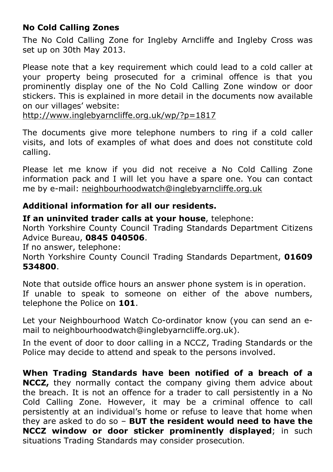# **No Cold Calling Zones**

The No Cold Calling Zone for Ingleby Arncliffe and Ingleby Cross was set up on 30th May 2013.

Please note that a key requirement which could lead to a cold caller at your property being prosecuted for a criminal offence is that you prominently display one of the No Cold Calling Zone window or door stickers. This is explained in more detail in the documents now available on our villages' website:

http://www.inglebyarncliffe.org.uk/wp/?p=1817

The documents give more telephone numbers to ring if a cold caller visits, and lots of examples of what does and does not constitute cold calling.

Please let me know if you did not receive a No Cold Calling Zone information pack and I will let you have a spare one. You can contact me by e-mail: neighbourhoodwatch@inglebyarncliffe.org.uk

### **Additional information for all our residents.**

**If an uninvited trader calls at your house**, telephone:

North Yorkshire County Council Trading Standards Department Citizens Advice Bureau, **0845 040506**.

If no answer, telephone:

North Yorkshire County Council Trading Standards Department, **01609 534800**.

Note that outside office hours an answer phone system is in operation. If unable to speak to someone on either of the above numbers, telephone the Police on **101**.

Let your Neighbourhood Watch Co-ordinator know (you can send an email to neighbourhoodwatch@inglebyarncliffe.org.uk).

In the event of door to door calling in a NCCZ, Trading Standards or the Police may decide to attend and speak to the persons involved.

**When Trading Standards have been notified of a breach of a NCCZ,** they normally contact the company giving them advice about the breach. It is not an offence for a trader to call persistently in a No Cold Calling Zone. However, it may be a criminal offence to call persistently at an individual's home or refuse to leave that home when they are asked to do so – **BUT the resident would need to have the NCCZ window or door sticker prominently displayed**; in such situations Trading Standards may consider prosecution.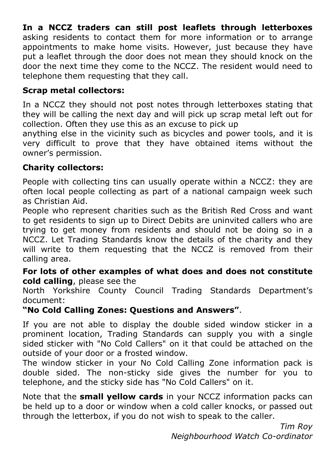# **In a NCCZ traders can still post leaflets through letterboxes**

asking residents to contact them for more information or to arrange appointments to make home visits. However, just because they have put a leaflet through the door does not mean they should knock on the door the next time they come to the NCCZ. The resident would need to telephone them requesting that they call.

#### **Scrap metal collectors:**

In a NCCZ they should not post notes through letterboxes stating that they will be calling the next day and will pick up scrap metal left out for collection. Often they use this as an excuse to pick up

anything else in the vicinity such as bicycles and power tools, and it is very difficult to prove that they have obtained items without the owner's permission.

#### **Charity collectors:**

People with collecting tins can usually operate within a NCCZ: they are often local people collecting as part of a national campaign week such as Christian Aid.

People who represent charities such as the British Red Cross and want to get residents to sign up to Direct Debits are uninvited callers who are trying to get money from residents and should not be doing so in a NCCZ. Let Trading Standards know the details of the charity and they will write to them requesting that the NCCZ is removed from their calling area.

#### **For lots of other examples of what does and does not constitute cold calling**, please see the

North Yorkshire County Council Trading Standards Department's document:

### **"No Cold Calling Zones: Questions and Answers"**.

If you are not able to display the double sided window sticker in a prominent location, Trading Standards can supply you with a single sided sticker with "No Cold Callers" on it that could be attached on the outside of your door or a frosted window.

The window sticker in your No Cold Calling Zone information pack is double sided. The non-sticky side gives the number for you to telephone, and the sticky side has "No Cold Callers" on it.

Note that the **small yellow cards** in your NCCZ information packs can be held up to a door or window when a cold caller knocks, or passed out through the letterbox, if you do not wish to speak to the caller.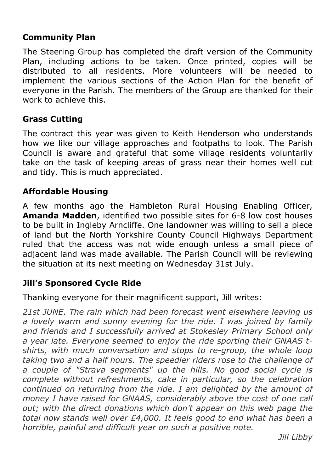### **Community Plan**

The Steering Group has completed the draft version of the Community Plan, including actions to be taken. Once printed, copies will be distributed to all residents. More volunteers will be needed to implement the various sections of the Action Plan for the benefit of everyone in the Parish. The members of the Group are thanked for their work to achieve this.

#### **Grass Cutting**

The contract this year was given to Keith Henderson who understands how we like our village approaches and footpaths to look. The Parish Council is aware and grateful that some village residents voluntarily take on the task of keeping areas of grass near their homes well cut and tidy. This is much appreciated.

#### **Affordable Housing**

A few months ago the Hambleton Rural Housing Enabling Officer, **Amanda Madden**, identified two possible sites for 6-8 low cost houses to be built in Ingleby Arncliffe. One landowner was willing to sell a piece of land but the North Yorkshire County Council Highways Department ruled that the access was not wide enough unless a small piece of adjacent land was made available. The Parish Council will be reviewing the situation at its next meeting on Wednesday 31st July.

### **Jill's Sponsored Cycle Ride**

Thanking everyone for their magnificent support, Jill writes:

*21st JUNE*. *The rain which had been forecast went elsewhere leaving us a lovely warm and sunny evening for the ride. I was joined by family and friends and I successfully arrived at Stokesley Primary School only a year late. Everyone seemed to enjoy the ride sporting their GNAAS tshirts, with much conversation and stops to re-group, the whole loop taking two and a half hours. The speedier riders rose to the challenge of a couple of "Strava segments" up the hills. No good social cycle is complete without refreshments, cake in particular, so the celebration continued on returning from the ride. I am delighted by the amount of money I have raised for GNAAS, considerably above the cost of one call out; with the direct donations which don't appear on this web page the total now stands well over £4,000. It feels good to end what has been a horrible, painful and difficult year on such a positive note.* 

*Jill Libby*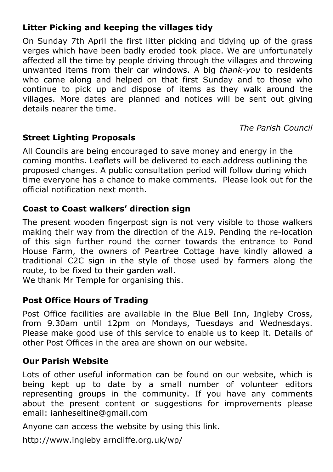# **Litter Picking and keeping the villages tidy**

On Sunday 7th April the first litter picking and tidying up of the grass verges which have been badly eroded took place. We are unfortunately affected all the time by people driving through the villages and throwing unwanted items from their car windows. A big *thank-you* to residents who came along and helped on that first Sunday and to those who continue to pick up and dispose of items as they walk around the villages. More dates are planned and notices will be sent out giving details nearer the time.

*The Parish Council* 

### **Street Lighting Proposals**

All Councils are being encouraged to save money and energy in the coming months. Leaflets will be delivered to each address outlining the proposed changes. A public consultation period will follow during which time everyone has a chance to make comments. Please look out for the official notification next month.

### **Coast to Coast walkers' direction sign**

The present wooden fingerpost sign is not very visible to those walkers making their way from the direction of the A19. Pending the re-location of this sign further round the corner towards the entrance to Pond House Farm, the owners of Peartree Cottage have kindly allowed a traditional C2C sign in the style of those used by farmers along the route, to be fixed to their garden wall.

We thank Mr Temple for organising this.

### **Post Office Hours of Trading**

Post Office facilities are available in the Blue Bell Inn, Ingleby Cross, from 9.30am until 12pm on Mondays, Tuesdays and Wednesdays. Please make good use of this service to enable us to keep it. Details of other Post Offices in the area are shown on our website.

#### **Our Parish Website**

Lots of other useful information can be found on our website, which is being kept up to date by a small number of volunteer editors representing groups in the community. If you have any comments about the present content or suggestions for improvements please email: ianheseltine@gmail.com

Anyone can access the website by using this link.

http://www.ingleby arncliffe.org.uk/wp/